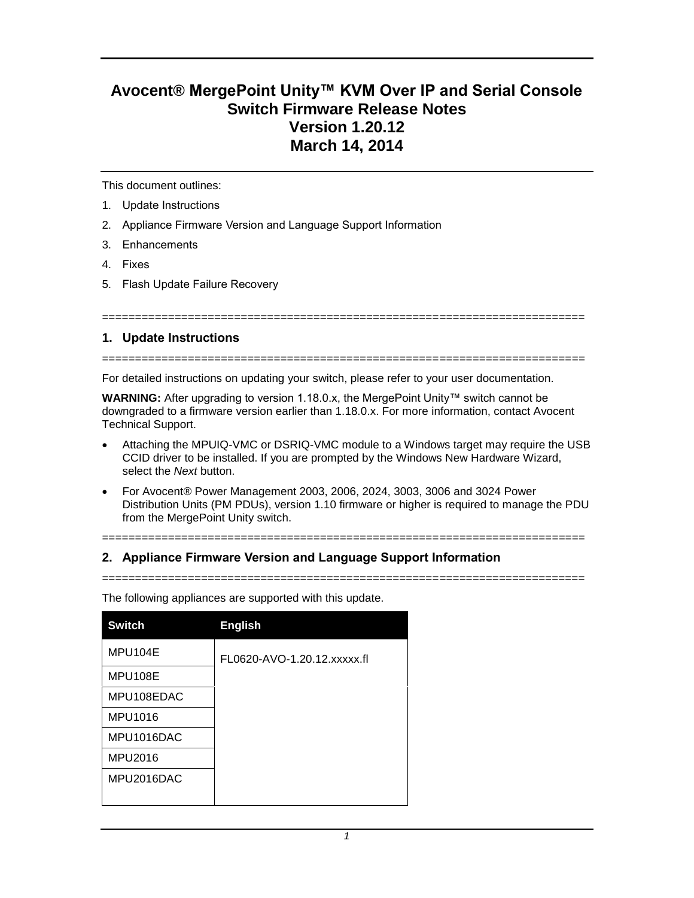# **Avocent® MergePoint Unity™ KVM Over IP and Serial Console Switch Firmware Release Notes Version 1.20.12 March 14, 2014**

This document outlines:

- 1. Update Instructions
- 2. Appliance Firmware Version and Language Support Information
- 3. Enhancements
- 4. Fixes
- 5. Flash Update Failure Recovery

## **1. Update Instructions**

=========================================================================

=========================================================================

For detailed instructions on updating your switch, please refer to your user documentation.

**WARNING:** After upgrading to version 1.18.0.x, the MergePoint Unity™ switch cannot be downgraded to a firmware version earlier than 1.18.0.x. For more information, contact Avocent Technical Support.

- Attaching the MPUIQ-VMC or DSRIQ-VMC module to a Windows target may require the USB CCID driver to be installed. If you are prompted by the Windows New Hardware Wizard, select the *Next* button.
- For Avocent® Power Management 2003, 2006, 2024, 3003, 3006 and 3024 Power Distribution Units (PM PDUs), version 1.10 firmware or higher is required to manage the PDU from the MergePoint Unity switch.

=========================================================================

## **2. Appliance Firmware Version and Language Support Information**

=========================================================================

| <b>Switch</b> | <b>English</b>              |
|---------------|-----------------------------|
| MPU104E       | FL0620-AVO-1.20.12 xxxxx.fl |
| MPU108E       |                             |
| MPU108EDAC    |                             |
| MPU1016       |                             |
| MPU1016DAC    |                             |
| MPU2016       |                             |
| MPU2016DAC    |                             |
|               |                             |

The following appliances are supported with this update.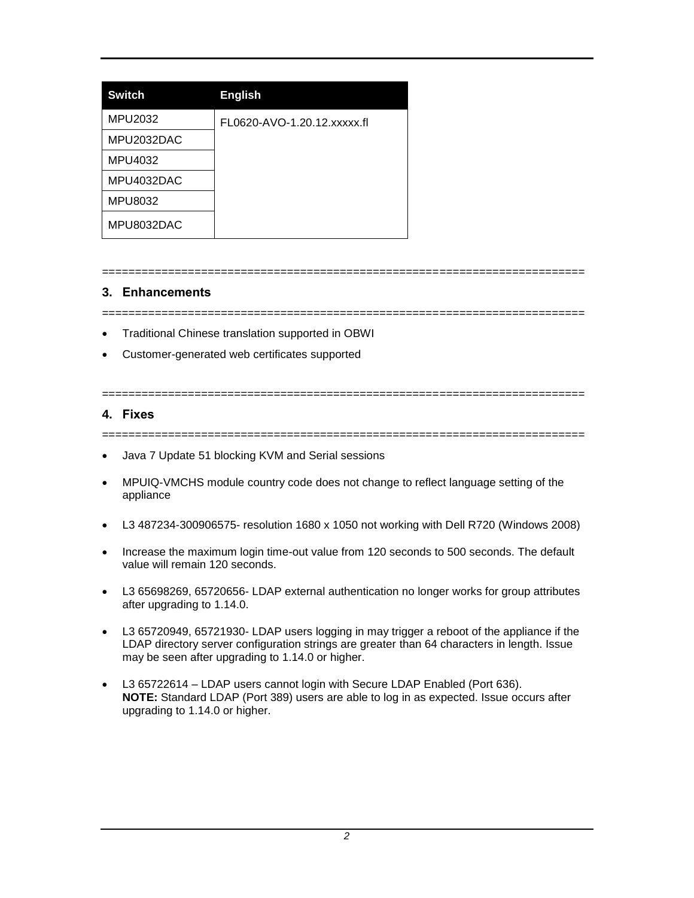| <b>Switch</b> | <b>English</b>              |
|---------------|-----------------------------|
| MPU2032       | FL0620-AVO-1.20.12.xxxxx.fl |
| MPU2032DAC    |                             |
| MPU4032       |                             |
| MPU4032DAC    |                             |
| MPU8032       |                             |
| MPU8032DAC    |                             |

# **3. Enhancements**

=========================================================================

=========================================================================

- Traditional Chinese translation supported in OBWI
- Customer-generated web certificates supported

# **4. Fixes**

=========================================================================

=========================================================================

- Java 7 Update 51 blocking KVM and Serial sessions
- MPUIQ-VMCHS module country code does not change to reflect language setting of the appliance
- L3 487234-300906575- resolution 1680 x 1050 not working with Dell R720 (Windows 2008)
- Increase the maximum login time-out value from 120 seconds to 500 seconds. The default value will remain 120 seconds.
- L3 65698269, 65720656- LDAP external authentication no longer works for group attributes after upgrading to 1.14.0.
- L3 65720949, 65721930- LDAP users logging in may trigger a reboot of the appliance if the LDAP directory server configuration strings are greater than 64 characters in length. Issue may be seen after upgrading to 1.14.0 or higher.
- L3 65722614 LDAP users cannot login with Secure LDAP Enabled (Port 636). **NOTE:** Standard LDAP (Port 389) users are able to log in as expected. Issue occurs after upgrading to 1.14.0 or higher.